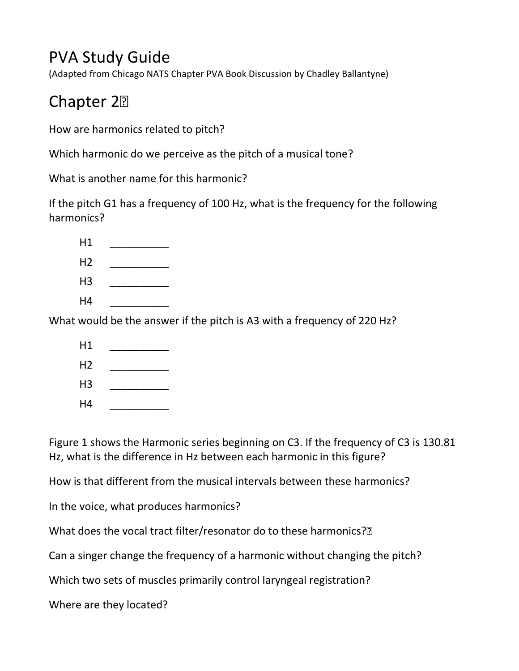## PVA Study Guide

(Adapted from Chicago NATS Chapter PVA Book Discussion by Chadley Ballantyne)

## Chapter 2

How are harmonics related to pitch?

Which harmonic do we perceive as the pitch of a musical tone?

What is another name for this harmonic?

If the pitch G1 has a frequency of 100 Hz, what is the frequency for the following harmonics?

What would be the answer if the pitch is A3 with a frequency of 220 Hz?

| H1             |  |
|----------------|--|
| H <sub>2</sub> |  |
| H <sub>3</sub> |  |
| H4             |  |

Figure 1 shows the Harmonic series beginning on C3. If the frequency of C3 is 130.81 Hz, what is the difference in Hz between each harmonic in this figure?

How is that different from the musical intervals between these harmonics?

In the voice, what produces harmonics?

What does the vocal tract filter/resonator do to these harmonics?<sup>[2]</sup>

Can a singer change the frequency of a harmonic without changing the pitch?

Which two sets of muscles primarily control laryngeal registration?

Where are they located?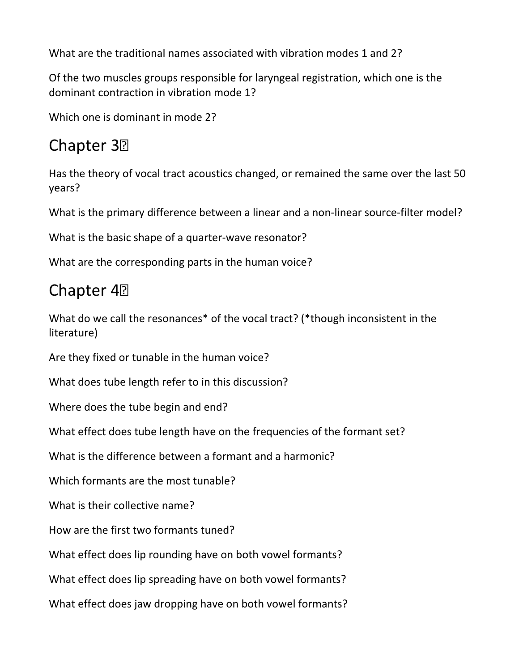What are the traditional names associated with vibration modes 1 and 2?

Of the two muscles groups responsible for laryngeal registration, which one is the dominant contraction in vibration mode 1?

Which one is dominant in mode 2?

#### Chapter 3<sup>2</sup>

Has the theory of vocal tract acoustics changed, or remained the same over the last 50 years?

What is the primary difference between a linear and a non-linear source-filter model?

What is the basic shape of a quarter-wave resonator?

What are the corresponding parts in the human voice?

#### Chapter 4<sup>2</sup>

What do we call the resonances<sup>\*</sup> of the vocal tract? (\*though inconsistent in the literature)

Are they fixed or tunable in the human voice?

What does tube length refer to in this discussion?

Where does the tube begin and end?

What effect does tube length have on the frequencies of the formant set?

What is the difference between a formant and a harmonic?

Which formants are the most tunable?

What is their collective name?

How are the first two formants tuned?

What effect does lip rounding have on both vowel formants?

What effect does lip spreading have on both vowel formants?

What effect does jaw dropping have on both vowel formants?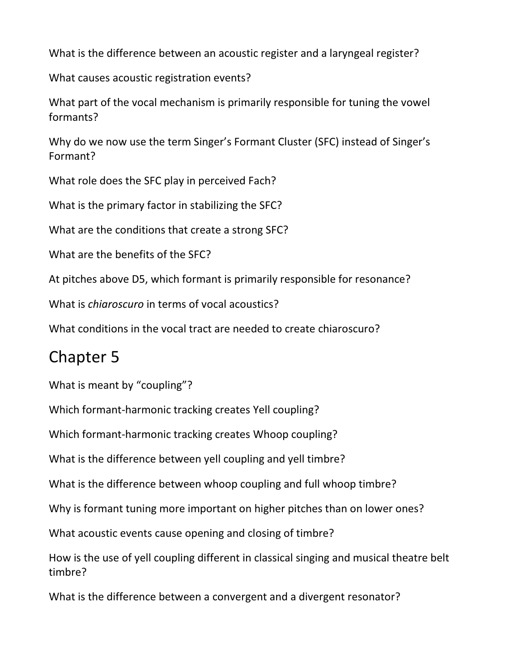What is the difference between an acoustic register and a laryngeal register?

What causes acoustic registration events?

What part of the vocal mechanism is primarily responsible for tuning the vowel formants?

Why do we now use the term Singer's Formant Cluster (SFC) instead of Singer's Formant?

What role does the SFC play in perceived Fach?

What is the primary factor in stabilizing the SFC?

What are the conditions that create a strong SFC?

What are the benefits of the SFC?

At pitches above D5, which formant is primarily responsible for resonance?

What is *chiaroscuro* in terms of vocal acoustics?

What conditions in the vocal tract are needed to create chiaroscuro?

### Chapter 5

What is meant by "coupling"?

Which formant-harmonic tracking creates Yell coupling?

Which formant-harmonic tracking creates Whoop coupling?

What is the difference between yell coupling and yell timbre?

What is the difference between whoop coupling and full whoop timbre?

Why is formant tuning more important on higher pitches than on lower ones?

What acoustic events cause opening and closing of timbre?

How is the use of yell coupling different in classical singing and musical theatre belt timbre?

What is the difference between a convergent and a divergent resonator?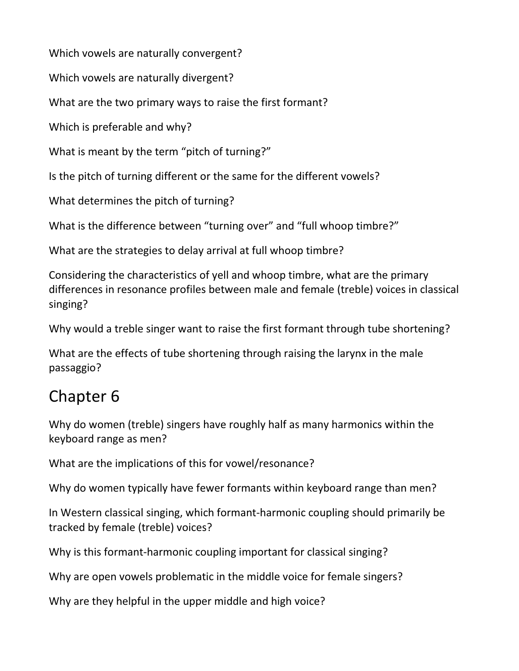Which vowels are naturally convergent?

Which vowels are naturally divergent?

What are the two primary ways to raise the first formant?

Which is preferable and why?

What is meant by the term "pitch of turning?"

Is the pitch of turning different or the same for the different vowels?

What determines the pitch of turning?

What is the difference between "turning over" and "full whoop timbre?"

What are the strategies to delay arrival at full whoop timbre?

Considering the characteristics of yell and whoop timbre, what are the primary differences in resonance profiles between male and female (treble) voices in classical singing?

Why would a treble singer want to raise the first formant through tube shortening?

What are the effects of tube shortening through raising the larynx in the male passaggio?

# Chapter 6

Why do women (treble) singers have roughly half as many harmonics within the keyboard range as men?

What are the implications of this for vowel/resonance?

Why do women typically have fewer formants within keyboard range than men?

In Western classical singing, which formant-harmonic coupling should primarily be tracked by female (treble) voices?

Why is this formant-harmonic coupling important for classical singing?

Why are open vowels problematic in the middle voice for female singers?

Why are they helpful in the upper middle and high voice?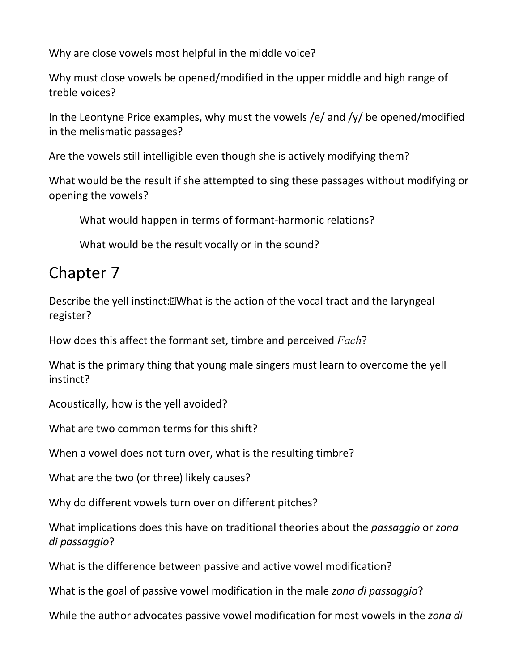Why are close vowels most helpful in the middle voice?

Why must close vowels be opened/modified in the upper middle and high range of treble voices?

In the Leontyne Price examples, why must the vowels /e/ and /y/ be opened/modified in the melismatic passages?

Are the vowels still intelligible even though she is actively modifying them?

What would be the result if she attempted to sing these passages without modifying or opening the vowels?

What would happen in terms of formant-harmonic relations?

What would be the result vocally or in the sound?

#### Chapter 7

Describe the yell instinct: Net is the action of the vocal tract and the laryngeal register?

How does this affect the formant set, timbre and perceived Fach?

What is the primary thing that young male singers must learn to overcome the yell instinct?

Acoustically, how is the yell avoided?

What are two common terms for this shift?

When a vowel does not turn over, what is the resulting timbre?

What are the two (or three) likely causes?

Why do different vowels turn over on different pitches?

What implications does this have on traditional theories about the *passaggio* or zona di passaggio?

What is the difference between passive and active vowel modification?

What is the goal of passive vowel modification in the male zona di passaggio?

While the author advocates passive vowel modification for most vowels in the zona di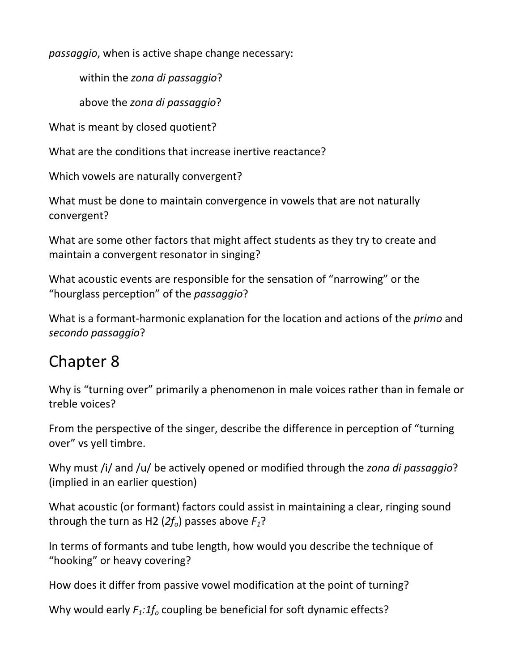passaggio, when is active shape change necessary:

within the zona di passaggio?

above the zona di passaggio?

What is meant by closed quotient?

What are the conditions that increase inertive reactance?

Which vowels are naturally convergent?

What must be done to maintain convergence in vowels that are not naturally convergent?

What are some other factors that might affect students as they try to create and maintain a convergent resonator in singing?

What acoustic events are responsible for the sensation of "narrowing" or the "hourglass perception" of the passaggio?

What is a formant-harmonic explanation for the location and actions of the *primo* and secondo passaggio?

# Chapter 8

Why is "turning over" primarily a phenomenon in male voices rather than in female or treble voices?

From the perspective of the singer, describe the difference in perception of "turning over" vs yell timbre.

Why must /i/ and /u/ be actively opened or modified through the zona di passaggio? (implied in an earlier question)

What acoustic (or formant) factors could assist in maintaining a clear, ringing sound through the turn as H2 ( $2f<sub>o</sub>$ ) passes above  $F<sub>1</sub>$ ?

In terms of formants and tube length, how would you describe the technique of "hooking" or heavy covering?

How does it differ from passive vowel modification at the point of turning?

Why would early  $F_1:1f_0$  coupling be beneficial for soft dynamic effects?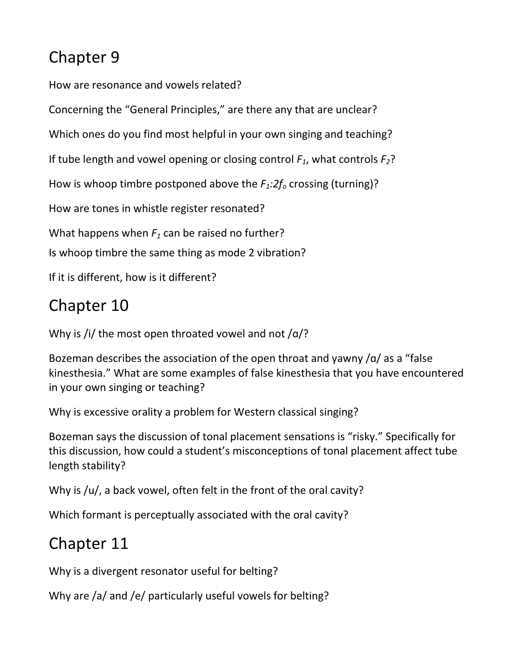# Chapter 9

How are resonance and vowels related?

Concerning the "General Principles," are there any that are unclear?

Which ones do you find most helpful in your own singing and teaching?

If tube length and vowel opening or closing control  $F_1$ , what controls  $F_2$ ?

How is whoop timbre postponed above the  $F_1:2f_0$  crossing (turning)?

How are tones in whistle register resonated?

What happens when  $F_1$  can be raised no further?

Is whoop timbre the same thing as mode 2 vibration?

If it is different, how is it different?

# Chapter 10

Why is /i/ the most open throated vowel and not  $\alpha$ ?

Bozeman describes the association of the open throat and yawny /ɑ/ as a "false kinesthesia." What are some examples of false kinesthesia that you have encountered in your own singing or teaching?

Why is excessive orality a problem for Western classical singing?

Bozeman says the discussion of tonal placement sensations is "risky." Specifically for this discussion, how could a student's misconceptions of tonal placement affect tube length stability?

Why is /u/, a back vowel, often felt in the front of the oral cavity?

Which formant is perceptually associated with the oral cavity?

# Chapter 11

Why is a divergent resonator useful for belting?

Why are /a/ and /e/ particularly useful vowels for belting?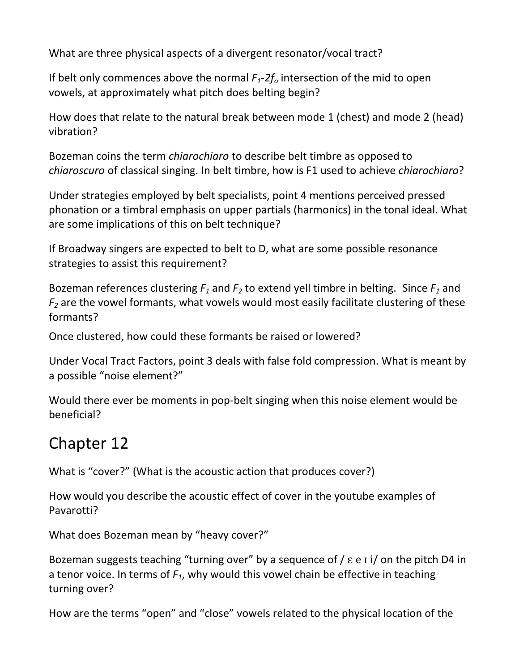What are three physical aspects of a divergent resonator/vocal tract?

If belt only commences above the normal  $F_1-2f_0$  intersection of the mid to open vowels, at approximately what pitch does belting begin?

How does that relate to the natural break between mode 1 (chest) and mode 2 (head) vibration?

Bozeman coins the term chiarochiaro to describe belt timbre as opposed to chiaroscuro of classical singing. In belt timbre, how is F1 used to achieve chiarochiaro?

Under strategies employed by belt specialists, point 4 mentions perceived pressed phonation or a timbral emphasis on upper partials (harmonics) in the tonal ideal. What are some implications of this on belt technique?

If Broadway singers are expected to belt to D, what are some possible resonance strategies to assist this requirement?

Bozeman references clustering  $F_1$  and  $F_2$  to extend yell timbre in belting. Since  $F_1$  and  $F_2$  are the vowel formants, what vowels would most easily facilitate clustering of these formants?

Once clustered, how could these formants be raised or lowered?

Under Vocal Tract Factors, point 3 deals with false fold compression. What is meant by a possible "noise element?"

Would there ever be moments in pop-belt singing when this noise element would be beneficial?

### Chapter 12

What is "cover?" (What is the acoustic action that produces cover?)

How would you describe the acoustic effect of cover in the youtube examples of Pavarotti?

What does Bozeman mean by "heavy cover?"

Bozeman suggests teaching "turning over" by a sequence of  $\ell$   $\varepsilon$  e  $\iota$  i  $\ell$  on the pitch D4 in a tenor voice. In terms of  $F_1$ , why would this vowel chain be effective in teaching turning over?

How are the terms "open" and "close" vowels related to the physical location of the